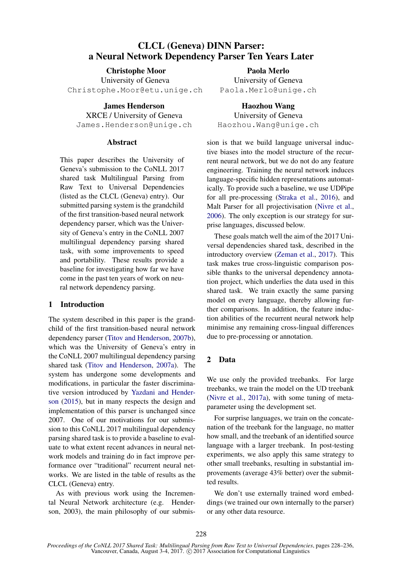# CLCL (Geneva) DINN Parser: a Neural Network Dependency Parser Ten Years Later

Christophe Moor University of Geneva Christophe.Moor@etu.unige.ch

> James Henderson XRCE / University of Geneva

James.Henderson@unige.ch

#### **Abstract**

This paper describes the University of Geneva's submission to the CoNLL 2017 shared task Multilingual Parsing from Raw Text to Universal Dependencies (listed as the CLCL (Geneva) entry). Our submitted parsing system is the grandchild of the first transition-based neural network dependency parser, which was the University of Geneva's entry in the CoNLL 2007 multilingual dependency parsing shared task, with some improvements to speed and portability. These results provide a baseline for investigating how far we have come in the past ten years of work on neural network dependency parsing.

#### 1 Introduction

The system described in this paper is the grandchild of the first transition-based neural network dependency parser (Titov and Henderson, 2007b), which was the University of Geneva's entry in the CoNLL 2007 multilingual dependency parsing shared task (Titov and Henderson, 2007a). The system has undergone some developments and modifications, in particular the faster discriminative version introduced by Yazdani and Henderson (2015), but in many respects the design and implementation of this parser is unchanged since 2007. One of our motivations for our submission to this CoNLL 2017 multilingual dependency parsing shared task is to provide a baseline to evaluate to what extent recent advances in neural network models and training do in fact improve performance over "traditional" recurrent neural networks. We are listed in the table of results as the CLCL (Geneva) entry.

As with previous work using the Incremental Neural Network architecture (e.g. Henderson, 2003), the main philosophy of our submis-

Paola Merlo University of Geneva Paola.Merlo@unige.ch

Haozhou Wang University of Geneva Haozhou.Wang@unige.ch

sion is that we build language universal inductive biases into the model structure of the recurrent neural network, but we do not do any feature engineering. Training the neural network induces language-specific hidden representations automatically. To provide such a baseline, we use UDPipe for all pre-processing (Straka et al., 2016), and Malt Parser for all projectivisation (Nivre et al., 2006). The only exception is our strategy for surprise languages, discussed below.

These goals match well the aim of the 2017 Universal dependencies shared task, described in the introductory overview (Zeman et al., 2017). This task makes true cross-linguistic comparison possible thanks to the universal dependency annotation project, which underlies the data used in this shared task. We train exactly the same parsing model on every language, thereby allowing further comparisons. In addition, the feature induction abilities of the recurrent neural network help minimise any remaining cross-lingual differences due to pre-processing or annotation.

## 2 Data

We use only the provided treebanks. For large treebanks, we train the model on the UD treebank (Nivre et al., 2017a), with some tuning of metaparameter using the development set.

For surprise languages, we train on the concatenation of the treebank for the language, no matter how small, and the treebank of an identified source language with a larger treebank. In post-testing experiments, we also apply this same strategy to other small treebanks, resulting in substantial improvements (average 43% better) over the submitted results.

We don't use externally trained word embeddings (we trained our own internally to the parser) or any other data resource.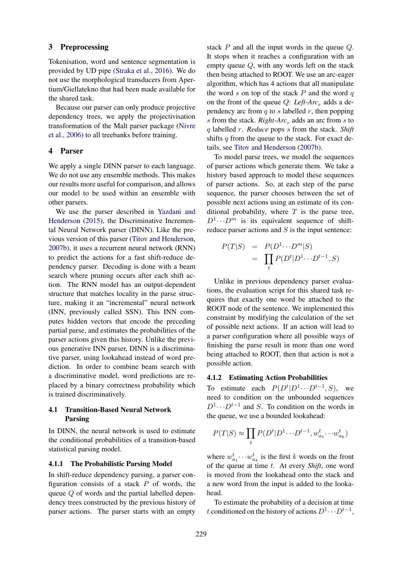#### 3 Preprocessing

Tokenisation, word and sentence segmentation is provided by UD pipe (Straka et al., 2016). We do not use the morphological transducers from Apertium/Giellatekno that had been made available for the shared task.

Because our parser can only produce projective dependency trees, we apply the projectivisation transformation of the Malt parser package (Nivre et al., 2006) to all treebanks before training.

#### 4 Parser

We apply a single DINN parser to each language. We do not use any ensemble methods. This makes our results more useful for comparison, and allows our model to be used within an ensemble with other parsers.

We use the parser described in Yazdani and Henderson (2015), the Discriminative Incremental Neural Network parser (DINN). Like the previous version of this parser (Titov and Henderson, 2007b), it uses a recurrent neural network (RNN) to predict the actions for a fast shift-reduce dependency parser. Decoding is done with a beam search where pruning occurs after each shift action. The RNN model has an output-dependent structure that matches locality in the parse structure, making it an "incremental" neural network (INN, previously called SSN). This INN computes hidden vectors that encode the preceding partial parse, and estimates the probabilities of the parser actions given this history. Unlike the previous generative INN parser, DINN is a discriminative parser, using lookahead instead of word prediction. In order to combine beam search with a discriminative model, word predictions are replaced by a binary correctness probability which is trained discriminatively.

## 4.1 Transition-Based Neural Network Parsing

In DINN, the neural network is used to estimate the conditional probabilities of a transition-based statistical parsing model.

#### 4.1.1 The Probabilistic Parsing Model

In shift-reduce dependency parsing, a parser configuration consists of a stack  $P$  of words, the queue Q of words and the partial labelled dependency trees constructed by the previous history of parser actions. The parser starts with an empty

stack  $P$  and all the input words in the queue  $Q$ . It stops when it reaches a configuration with an empty queue Q, with any words left on the stack then being attached to ROOT. We use an arc-eager algorithm, which has 4 actions that all manipulate the word s on top of the stack  $P$  and the word  $q$ on the front of the queue  $Q$ : *Left-Arc<sub>r</sub>* adds a dependency arc from  $q$  to  $s$  labelled  $r$ , then popping s from the stack. *Right-Arc<sub>r</sub>* adds an arc from s to q labelled r. *Reduce* pops s from the stack. *Shift* shifts  $q$  from the queue to the stack. For exact details, see Titov and Henderson (2007b).

To model parse trees, we model the sequences of parser actions which generate them. We take a history based approach to model these sequences of parser actions. So, at each step of the parse sequence, the parser chooses between the set of possible next actions using an estimate of its conditional probability, where  $T$  is the parse tree,  $D^1 \cdots D^m$  is its equivalent sequence of shiftreduce parser actions and  $S$  is the input sentence:

$$
P(T|S) = P(D^1 \cdots D^m|S)
$$
  
= 
$$
\prod_t P(D^t|D^1 \cdots D^{t-1}, S)
$$

Unlike in previous dependency parser evaluations, the evaluation script for this shared task requires that exactly one word be attached to the ROOT node of the sentence. We implemented this constraint by modifying the calculation of the set of possible next actions. If an action will lead to a parser configuration where all possible ways of finishing the parse result in more than one word being attached to ROOT, then that action is not a possible action.

#### 4.1.2 Estimating Action Probabilities

To estimate each  $P(D^t|D^1 \cdots D^{t-1}, S)$ , we need to condition on the unbounded sequences  $D^1 \cdots D^{t-1}$  and S. To condition on the words in the queue, we use a bounded lookahead:

$$
P(T|S) \approx \prod_t P(D^t|D^1 \cdots D^{t-1}, w_{a_1}^t \cdots w_{a_k}^t)
$$

where  $w_{a_1}^t \cdots w_{a_k}^t$  is the first k words on the front of the queue at time t. At every *Shift*, one word is moved from the lookahead onto the stack and a new word from the input is added to the lookahead.

To estimate the probability of a decision at time t conditioned on the history of actions  $D^1 \cdots D^{t-1}$ ,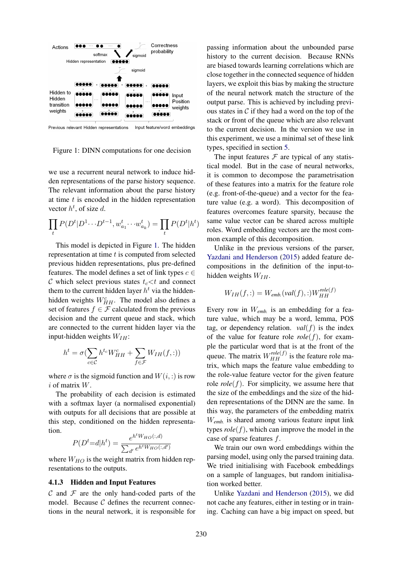

Previous relevant Hidden representations Input feature/word embeddings

Figure 1: DINN computations for one decision

we use a recurrent neural network to induce hidden representations of the parse history sequence. The relevant information about the parse history at time  $t$  is encoded in the hidden representation vector  $h^t$ , of size d.

$$
\prod_t P(D^t|D^1\cdots D^{t-1}, w_{a_1}^t\cdots w_{a_k}^t) = \prod_t P(D^t|h^t)
$$

This model is depicted in Figure 1. The hidden representation at time  $t$  is computed from selected previous hidden representations, plus pre-defined features. The model defines a set of link types  $c \in$ C which select previous states  $t_c < t$  and connect them to the current hidden layer  $h<sup>t</sup>$  via the hiddenhidden weights  $W_{HH}^c$ . The model also defines a set of features  $f \in \mathcal{F}$  calculated from the previous decision and the current queue and stack, which are connected to the current hidden layer via the input-hidden weights  $W_{IH}$ :

$$
h^{t} = \sigma(\sum_{c \in C} h^{t_c} W_{HH}^c + \sum_{f \in \mathcal{F}} W_{IH}(f, :))
$$

where  $\sigma$  is the sigmoid function and  $W(i, :)$  is row  $i$  of matrix  $W$ .

The probability of each decision is estimated with a softmax layer (a normalised exponential) with outputs for all decisions that are possible at this step, conditioned on the hidden representation.

$$
P(D^t = d | h^t) = \frac{e^{h^t W_{HO}(:,d)}}{\sum_{d'} e^{h^t W_{HO}(:,d')}}
$$

where  $W_{HO}$  is the weight matrix from hidden representations to the outputs.

#### 4.1.3 Hidden and Input Features

 $\mathcal C$  and  $\mathcal F$  are the only hand-coded parts of the model. Because  $C$  defines the recurrent connections in the neural network, it is responsible for

passing information about the unbounded parse history to the current decision. Because RNNs are biased towards learning correlations which are close together in the connected sequence of hidden layers, we exploit this bias by making the structure of the neural network match the structure of the output parse. This is achieved by including previous states in  $\mathcal C$  if they had a word on the top of the stack or front of the queue which are also relevant to the current decision. In the version we use in this experiment, we use a minimal set of these link types, specified in section 5.

The input features  $\mathcal F$  are typical of any statistical model. But in the case of neural networks, it is common to decompose the parametrisation of these features into a matrix for the feature role (e.g. front-of-the-queue) and a vector for the feature value (e.g. a word). This decomposition of features overcomes feature sparsity, because the same value vector can be shared across multiple roles. Word embedding vectors are the most common example of this decomposition.

Unlike in the previous versions of the parser, Yazdani and Henderson (2015) added feature decompositions in the definition of the input-tohidden weights  $W_{IH}$ .

$$
W_{IH}(f,:)=W_{emb.}(val(f),:)W_{HH}^{role(f)}
$$

Every row in W*emb.* is an embedding for a feature value, which may be a word, lemma, POS tag, or dependency relation.  $val(f)$  is the index of the value for feature role  $role(f)$ , for example the particular word that is at the front of the queue. The matrix  $W_{HH}^{role(f)}$  is the feature role matrix, which maps the feature value embedding to the role-value feature vector for the given feature role  $role(f)$ . For simplicity, we assume here that the size of the embeddings and the size of the hidden representations of the DINN are the same. In this way, the parameters of the embedding matrix W*emb.* is shared among various feature input link types  $role(f)$ , which can improve the model in the case of sparse features f.

We train our own word embeddings within the parsing model, using only the parsed training data. We tried initialising with Facebook embeddings on a sample of languages, but random initialisation worked better.

Unlike Yazdani and Henderson (2015), we did not cache any features, either in testing or in training. Caching can have a big impact on speed, but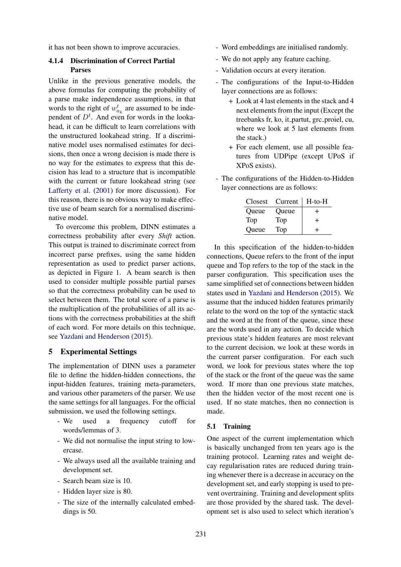it has not been shown to improve accuracies.

### 4.1.4 Discrimination of Correct Partial Parses

Unlike in the previous generative models, the above formulas for computing the probability of a parse make independence assumptions, in that words to the right of  $w_{a_k}^t$  are assumed to be independent of  $D<sup>t</sup>$ . And even for words in the lookahead, it can be difficult to learn correlations with the unstructured lookahead string. If a discriminative model uses normalised estimates for decisions, then once a wrong decision is made there is no way for the estimates to express that this decision has lead to a structure that is incompatible with the current or future lookahead string (see Lafferty et al. (2001) for more discussion). For this reason, there is no obvious way to make effective use of beam search for a normalised discriminative model.

To overcome this problem, DINN estimates a correctness probability after every *Shift* action. This output is trained to discriminate correct from incorrect parse prefixes, using the same hidden representation as used to predict parser actions, as depicted in Figure 1. A beam search is then used to consider multiple possible partial parses so that the correctness probability can be used to select between them. The total score of a parse is the multiplication of the probabilities of all its actions with the correctness probabilities at the shift of each word. For more details on this technique, see Yazdani and Henderson (2015).

### 5 Experimental Settings

The implementation of DINN uses a parameter file to define the hidden-hidden connections, the input-hidden features, training meta-parameters, and various other parameters of the parser. We use the same settings for all languages. For the official submission, we used the following settings.

- We used a frequency cutoff for words/lemmas of 3.
- We did not normalise the input string to lowercase.
- We always used all the available training and development set.
- Search beam size is 10.
- Hidden layer size is 80.
- The size of the internally calculated embeddings is 50.
- Word embeddings are initialised randomly.
- We do not apply any feature caching.
- Validation occurs at every iteration.
- The configurations of the Input-to-Hidden layer connections are as follows:
	- + Look at 4 last elements in the stack and 4 next elements from the input (Except the treebanks fr, ko, it\_partut, grc\_proiel, cu, where we look at 5 last elements from the stack.)
	- + For each element, use all possible features from UDPipe (except UPoS if XPoS exists).
- The configurations of the Hidden-to-Hidden layer connections are as follows:

| <b>Closest</b> | Current | $H$ -to- $H$ |
|----------------|---------|--------------|
| Oueue          | Queue   | ٠            |
| Top            | Top     | +            |
| Queue          | Top     |              |

In this specification of the hidden-to-hidden connections, Queue refers to the front of the input queue and Top refers to the top of the stack in the parser configuration. This specification uses the same simplified set of connections between hidden states used in Yazdani and Henderson (2015). We assume that the induced hidden features primarily relate to the word on the top of the syntactic stack and the word at the front of the queue, since these are the words used in any action. To decide which previous state's hidden features are most relevant to the current decision, we look at these words in the current parser configuration. For each such word, we look for previous states where the top of the stack or the front of the queue was the same word. If more than one previous state matches, then the hidden vector of the most recent one is used. If no state matches, then no connection is made.

#### 5.1 Training

One aspect of the current implementation which is basically unchanged from ten years ago is the training protocol. Learning rates and weight decay regularisation rates are reduced during training whenever there is a decrease in accuracy on the development set, and early stopping is used to prevent overtraining. Training and development splits are those provided by the shared task. The development set is also used to select which iteration's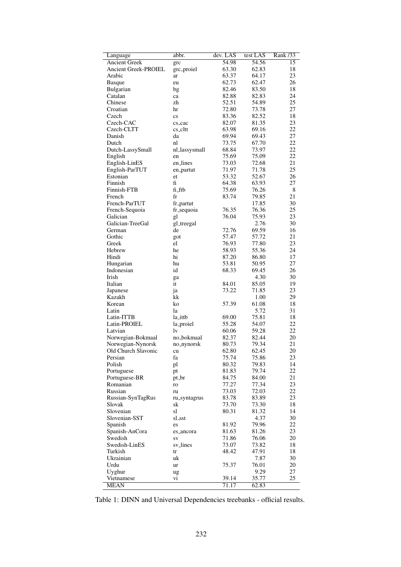| Language                    | abbr.                  | dev. LAS | test LAS | Rank /33 |
|-----------------------------|------------------------|----------|----------|----------|
| <b>Ancient Greek</b>        | grc                    | 54.98    | 54.56    | 15       |
| <b>Ancient Greek-PROIEL</b> | grc_proiel             | 63.30    | 62.83    | 18       |
| Arabic                      | ar                     | 63.37    | 64.17    | 23       |
| Basque                      | eu                     | 62.73    | 62.47    | 26       |
| Bulgarian                   | bg                     | 82.46    | 83.50    | 18       |
| Catalan                     | ca                     | 82.88    | 82.83    | 24       |
| Chinese                     | zh                     | 52.51    | 54.89    | 25       |
| Croatian                    | hr                     | 72.80    | 73.78    | 27       |
| Czech                       | $\mathbf{c}\mathbf{s}$ | 83.36    | 82.52    | 18       |
| Czech-CAC                   | cs_cac                 | 82.07    | 81.35    | 23       |
| Czech-CLTT                  | cs_cltt                | 63.98    | 69.16    | 22       |
| Danish                      | da                     | 69.94    | 69.43    | 27       |
| Dutch                       | nl                     | 73.75    | 67.70    | 22       |
| Dutch-LassySmall            | nl_lassysmall          | 68.84    | 73.97    | 22       |
| English                     | en                     | 75.69    | 75.09    | 22       |
| English-LinES               | en_lines               | 73.03    | 72.68    | 21       |
| English-ParTUT              | en_partut              | 71.97    | 71.78    | 25       |
| Estonian                    | et                     | 53.32    | 52.67    | 26       |
| Finnish                     | fi                     | 64.38    | 63.93    | 27       |
| Finnish-FTB                 | fi_ftb                 | 75.69    | 76.26    | 8        |
| French                      | fr                     | 83.74    | 79.85    | 21       |
| French-ParTUT               | fr_partut              |          | 17.85    | 30       |
| French-Sequoia              | fr_sequoia             | 76.35    | 76.36    | 25       |
| Galician                    | gl                     | 76.04    | 75.93    | 23       |
| Galician-TreeGal            | gl_treegal             |          | 2.76     | 30       |
| German                      | de                     | 72.76    | 69.59    | 16       |
| Gothic                      | got                    | 57.47    | 57.72    | 21       |
| Greek                       | el                     | 76.93    | 77.80    | 23       |
| Hebrew                      | he                     | 58.93    | 55.36    | 24       |
| Hindi                       | hi                     | 87.20    | 86.80    | 17       |
| Hungarian                   | hu                     | 53.81    | 50.95    | 27       |
| Indonesian                  | id                     | 68.33    | 69.45    | 26       |
| Irish                       | ga                     |          | 4.30     | 30       |
| Italian                     | it                     | 84.01    | 85.05    | 19       |
| Japanese                    | ja                     | 73.22    | 71.85    | 23       |
| Kazakh                      | kk                     |          | 1.00     | 29       |
| Korean                      | ko                     | 57.39    | 61.08    | 18       |
| Latin                       | la                     |          | 5.72     | 31       |
| Latin-ITTB                  | la_ittb                | 69.00    | 75.81    | 18       |
| Latin-PROIEL                | la_proiel              | 55.28    | 54.07    | 22       |
| Latvian                     | lv                     | 60.06    | 59.28    | 22       |
| Norwegian-Bokmaal           | no_bokmaal             | 82.37    | 82.44    | 20       |
| Norwegian-Nynorsk           | no_nynorsk             | 80.73    | 79.34    | 21       |
| Old Church Slavonic         | cu                     | 62.80    | 62.45    | 20       |
| Persian                     | fa                     | 75.74    | 75.86    | 23       |
| Polish                      | pl                     | 80.32    | 79.83    | 14       |
| Portuguese                  | pt                     | 81.83    | 79.74    | 22       |
| Portuguese-BR               | pt_br                  | 84.75    | 84.00    | 21       |
| Romanian                    | ro                     | 77.27    | 77.34    | 23       |
| Russian                     | ru                     | 73.03    | 72.03    | 22       |
| Russian-SynTagRus           | ru_syntagrus           | 83.78    | 83.89    | 23       |
| Slovak                      | sk                     | 73.70    | 73.30    | 18       |
| Slovenian                   | sl                     | 80.31    | 81.32    | 14       |
| Slovenian-SST               | sl_sst                 |          | 4.37     | 30       |
| Spanish                     | es                     | 81.92    | 79.96    | 22       |
| Spanish-AnCora              | es_ancora              | 81.63    | 81.26    | 23       |
| Swedish                     | SV                     | 71.86    | 76.06    | 20       |
| Swedish-LinES               | sv_lines               | 73.07    | 73.82    | 18       |
| Turkish                     | tr                     | 48.42    | 47.91    | 18       |
| Ukrainian                   | uk                     |          | 7.87     | 30       |
| Urdu                        | ur                     | 75.37    | 76.01    | 20       |
| Uyghur                      | ug                     |          | 9.29     | 27       |
| Vietnamese                  | Vİ.                    | 39.14    | 35.77    | 25       |
| <b>MEAN</b>                 |                        | 71.17    | 62.83    |          |

Table 1: DINN and Universal Dependencies treebanks - official results.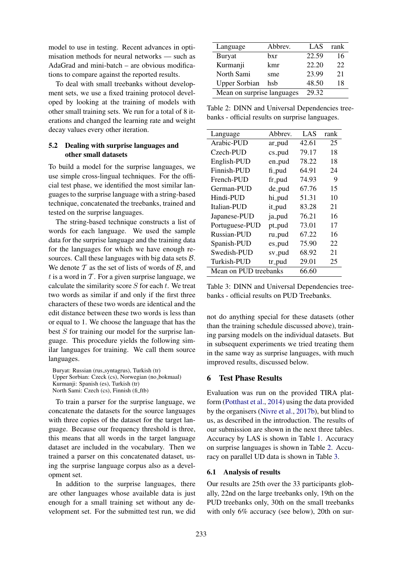model to use in testing. Recent advances in optimisation methods for neural networks — such as AdaGrad and mini-batch – are obvious modifications to compare against the reported results.

To deal with small treebanks without development sets, we use a fixed training protocol developed by looking at the training of models with other small training sets. We run for a total of 8 iterations and changed the learning rate and weight decay values every other iteration.

## 5.2 Dealing with surprise languages and other small datasets

To build a model for the surprise languages, we use simple cross-lingual techniques. For the official test phase, we identified the most similar languages to the surprise language with a string-based technique, concatenated the treebanks, trained and tested on the surprise languages.

The string-based technique constructs a list of words for each language. We used the sample data for the surprise language and the training data for the languages for which we have enough resources. Call these languages with big data sets  $\beta$ . We denote  $T$  as the set of lists of words of  $B$ , and t is a word in  $\mathcal T$ . For a given surprise language, we calculate the similarity score  $S$  for each  $t$ . We treat two words as similar if and only if the first three characters of these two words are identical and the edit distance between these two words is less than or equal to 1. We choose the language that has the best S for training our model for the surprise language. This procedure yields the following similar languages for training. We call them source languages.

Buryat: Russian (rus\_syntagrus), Turkish (tr) Upper Sorbian: Czeck (cs), Norwegian (no bokmaal) Kurmanji: Spanish (es), Turkish (tr) North Sami: Czech (cs), Finnish (fi\_ftb)

To train a parser for the surprise language, we concatenate the datasets for the source languages with three copies of the dataset for the target language. Because our frequency threshold is three, this means that all words in the target language dataset are included in the vocabulary. Then we trained a parser on this concatenated dataset, using the surprise language corpus also as a development set.

In addition to the surprise languages, there are other languages whose available data is just enough for a small training set without any development set. For the submitted test run, we did

| Language                   | Abbrev. |       | rank |
|----------------------------|---------|-------|------|
| Buryat                     | bxr     | 22.59 | 16   |
| Kurmanji                   | kmr     | 22.20 | 22   |
| North Sami                 | sme     | 23.99 | 21   |
| <b>Upper Sorbian</b>       | hsb     | 48.50 | 18   |
| Mean on surprise languages | 29.32   |       |      |

Table 2: DINN and Universal Dependencies treebanks - official results on surprise languages.

| Language              | Abbrev. | LAS   | rank |
|-----------------------|---------|-------|------|
| Arabic-PUD            | ar_pud  | 42.61 | 25   |
| Czech-PUD             | cs_pud  | 79.17 | 18   |
| English-PUD           | en_pud  | 78.22 | 18   |
| Finnish-PUD           | fi_pud  | 64.91 | 24   |
| French-PUD            | fr_pud  | 74.93 | 9    |
| German-PUD            | de_pud  | 67.76 | 15   |
| Hindi-PUD             | hi_pud  | 51.31 | 10   |
| Italian-PUD           | it_pud  | 83.28 | 21   |
| Japanese-PUD          | ja_pud  | 76.21 | 16   |
| Portuguese-PUD        | pt_pud  | 73.01 | 17   |
| Russian-PUD           | ru_pud  | 67.22 | 16   |
| Spanish-PUD           | es_pud  | 75.90 | 22   |
| Swedish-PUD           | sv_pud  | 68.92 | 21   |
| Turkish-PUD           | tr_pud  | 29.01 | 25   |
| Mean on PUD treebanks |         | 66.60 |      |

Table 3: DINN and Universal Dependencies treebanks - official results on PUD Treebanks.

not do anything special for these datasets (other than the training schedule discussed above), training parsing models on the individual datasets. But in subsequent experiments we tried treating them in the same way as surprise languages, with much improved results, discussed below.

## 6 Test Phase Results

Evaluation was run on the provided TIRA platform (Potthast et al., 2014) using the data provided by the organisers (Nivre et al., 2017b), but blind to us, as described in the introduction. The results of our submission are shown in the next three tables. Accuracy by LAS is shown in Table 1. Accuracy on surprise languages is shown in Table 2. Accuracy on parallel UD data is shown in Table 3.

#### 6.1 Analysis of results

Our results are 25th over the 33 participants globally, 22nd on the large treebanks only, 19th on the PUD treebanks only, 30th on the small treebanks with only 6% accuracy (see below), 20th on sur-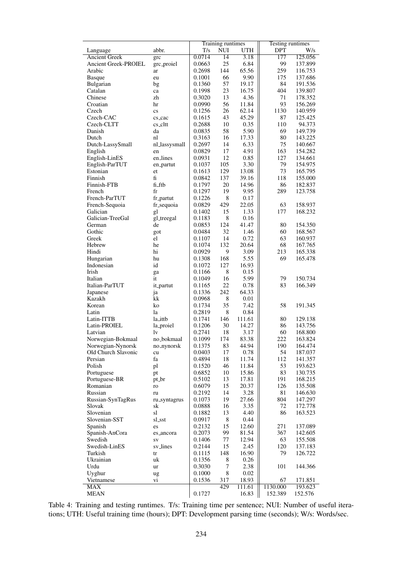|                             |                        | Training runtimes |                 | Testing runtimes |            |                    |
|-----------------------------|------------------------|-------------------|-----------------|------------------|------------|--------------------|
| Language                    | abbr.                  | T/s               | <b>NUI</b>      | <b>UTH</b>       | <b>DPT</b> | W/s                |
| <b>Ancient Greek</b>        | grc                    | 0.0714            | $\overline{14}$ | 3.18             | 177        | 125.056            |
| Ancient Greek-PROIEL        | grc_proiel             | 0.0663            | 25              | 6.84             | 99         | 137.899            |
| Arabic                      | ar                     | 0.2698            | 144             | 65.56            | 259        | 116.753            |
| <b>Basque</b>               | eu                     | 0.1001            | 66              | 9.90             | 175        | 137.686            |
| Bulgarian                   | bg                     | 0.1360            | 57              | 19.17            | 84         | 191.536            |
| Catalan                     | ca                     | 0.1998            | 23              | 16.75            | 404        | 139.807            |
| Chinese                     | zh                     | 0.3020            | 13              | 4.36             | 71         | 178.352            |
| Croatian                    | hr                     | 0.0990            | 56              | 11.84            | 93         | 156.269            |
| Czech                       | $\mathbf{c}\mathbf{s}$ | 0.1256            | 26              | 62.14            | 1130       | 140.959            |
| Czech-CAC                   | cs_cac                 | 0.1615            | 43              | 45.29            | 87         | 125.425            |
| Czech-CLTT                  | cs_cltt                | 0.2688            | 10              | 0.35             | 110        | 94.373             |
| Danish                      | da                     | 0.0835            | 58              | 5.90<br>17.33    | 69<br>80   | 149.739            |
| Dutch                       | nl                     | 0.3163<br>0.2697  | 16<br>14        | 6.33             | 75         | 143.225<br>140.667 |
| Dutch-LassySmall<br>English | nl_lassysmall<br>en    | 0.0829            | 17              | 4.91             | 163        | 154.282            |
| English-LinES               | en_lines               | 0.0931            | 12              | 0.85             | 127        | 134.661            |
| English-ParTUT              | en_partut              | 0.1037            | 105             | 3.30             | 79         | 154.975            |
| Estonian                    | et                     | 0.1613            | 129             | 13.08            | 73         | 165.795            |
| Finnish                     | $\mathbf f$            | 0.0842            | 137             | 39.16            | 118        | 155.000            |
| Finnish-FTB                 | fi_ftb                 | 0.1797            | 20              | 14.96            | 86         | 182.837            |
| French                      | fr                     | 0.1297            | 19              | 9.95             | 289        | 123.758            |
| French-ParTUT               | fr_partut              | 0.1226            | 8               | 0.17             |            |                    |
| French-Sequoia              | fr_sequoia             | 0.0829            | 429             | 22.05            | 63         | 158.937            |
| Galician                    | gl                     | 0.1402            | 15              | 1.33             | 177        | 168.232            |
| Galician-TreeGal            | gl_treegal             | 0.1183            | 8               | 0.16             |            |                    |
| German                      | de                     | 0.0853            | 124             | 41.47            | 80         | 154.350            |
| Gothic                      | got                    | 0.0484            | 32              | 1.46             | 60         | 168.567            |
| Greek                       | el                     | 0.1107            | 14              | 0.72             | 63         | 160.937            |
| Hebrew                      | he                     | 0.1074            | 132             | 20.64            | 68         | 167.765            |
| Hindi                       | hi                     | 0.0929            | 9               | 3.09             | 213        | 165.338            |
| Hungarian                   | hu                     | 0.1308            | 168             | 5.55             | 69         | 165.478            |
| Indonesian                  | id                     | 0.1072            | 127             | 16.93            |            |                    |
| Irish                       | ga                     | 0.1166            | 8               | 0.15             |            |                    |
| Italian                     | it                     | 0.1049            | 16              | 5.99             | 79         | 150.734            |
| Italian-ParTUT              | it_partut              | 0.1165            | 22              | 0.78             | 83         | 166.349            |
| Japanese                    | ja                     | 0.1336            | 242             | 64.33            |            |                    |
| Kazakh                      | kk                     | 0.0968            | 8               | 0.01             |            |                    |
| Korean                      | ko                     | 0.1734            | 35              | 7.42             | 58         | 191.345            |
| Latin<br>Latin-ITTB         | la                     | 0.2819            | 8               | 0.84             |            |                    |
|                             | la_ittb                | 0.1741            | 146<br>30       | 111.61<br>14.27  | 80<br>86   | 129.138<br>143.756 |
| Latin-PROIEL<br>Latvian     | la_proiel<br>lv        | 0.1206<br>0.2741  | 18              | 3.17             | 60         | 168.800            |
| Norwegian-Bokmaal           | no_bokmaal             | 0.1099            | 174             | 83.38            | 222        | 163.824            |
| Norwegian-Nynorsk           | no_nynorsk             | 0.1375            | 83              | 44.94            | 190        | 164.474            |
| Old Church Slavonic         | cu                     | 0.0403            | 17              | 0.78             | 54         | 187.037            |
| Persian                     | fa                     | 0.4894            | 18              | 11.74            | 112        | 141.357            |
| Polish                      | pl                     | 0.1520            | 46              | 11.84            | 53         | 193.623            |
| Portuguese                  | pt                     | 0.6852            | 10              | 15.86            | 83         | 130.735            |
| Portuguese-BR               | pt_br                  | 0.5102            | 13              | 17.81            | 191        | 168.215            |
| Romanian                    | ro                     | 0.6079            | 15              | 20.37            | 126        | 135.508            |
| Russian                     | ru                     | 0.2192            | 14              | 3.28             | 81         | 146.630            |
| Russian-SynTagRus           | ru_syntagrus           | 0.1073            | 19              | 27.66            | 804        | 147.297            |
| Slovak                      | sk                     | 0.0888            | 16              | 3.35             | 72         | 172.778            |
| Slovenian                   | sl                     | 0.1882            | 13              | 4.40             | 86         | 163.523            |
| Slovenian-SST               | sl_sst                 | 0.0917            | 8               | 0.44             |            |                    |
| Spanish                     | es                     | 0.2132            | 15              | 12.60            | 271        | 137.089            |
| Spanish-AnCora              | es_ancora              | 0.2073            | 99              | 81.54            | 367        | 142.605            |
| Swedish                     | SV                     | 0.1406            | 77              | 12.94            | 63         | 155.508            |
| Swedish-LinES               | sv_lines               | 0.2144            | 15              | 2.45             | 120        | 137.183            |
| Turkish                     | tr                     | 0.1115            | 148             | 16.90            | 79         | 126.722            |
| Ukrainian                   | uk                     | 0.1356            | 8               | 0.26             |            |                    |
| Urdu                        | ur                     | 0.3030            | 7               | 2.38             | 101        | 144.366            |
| Uyghur                      | ug                     | 0.1000            | $\,8$           | 0.02             |            |                    |
| Vietnamese                  | vi                     | 0.1536            | 317             | 18.93            | 67         | 171.851            |
| <b>MAX</b>                  |                        |                   | 429             | 111.61           | 1130.000   | 193.623            |
| <b>MEAN</b>                 |                        | 0.1727            |                 | 16.83            | 152.389    | 152.576            |

Table 4: Training and testing runtimes. T/s: Training time per sentence; NUI: Number of useful iterations; UTH: Useful training time (hours); DPT: Development parsing time (seconds); W/s: Words/sec.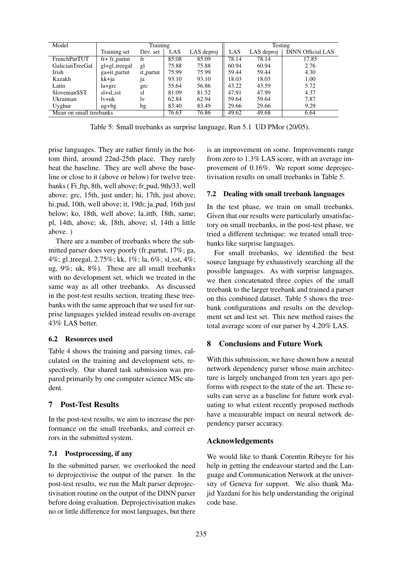| Model                   | Training              |           |       | Testing    |       |            |                          |
|-------------------------|-----------------------|-----------|-------|------------|-------|------------|--------------------------|
|                         | Training set          | Dev. set  | LAS   | LAS deproj | LAS   | LAS deproj | <b>DINN Official LAS</b> |
| FrenchParTUT            | $fr+fr$ -partut       | fr        | 85.08 | 85.09      | 78.14 | 78.14      | 17.85                    |
| GalicianTreeGal         | gl+gl_treegal         | gl        | 75.88 | 75.88      | 60.94 | 60.94      | 2.76                     |
| Irish                   | ga+it_partut          | it_partut | 75.99 | 75.99      | 59.44 | 59.44      | 4.30                     |
| Kazakh                  | kk+ja                 | 1a        | 93.10 | 93.10      | 18.03 | 18.03      | 1.00                     |
| Latin                   | $la + grc$            | grc       | 55.64 | 56.86      | 43.22 | 43.59      | 5.72                     |
| <b>SlovenianSST</b>     | sl+sl_sst             | sl        | 81.09 | 81.52      | 47.91 | 47.99      | 4.37                     |
| Ukrainian               | lv+uk                 | lv        | 62.84 | 62.94      | 59.64 | 59.64      | 7.87                     |
| Uyghur                  | $u\ddot{g}+b\ddot{g}$ | bg        | 83.40 | 83.49      | 29.66 | 29.66      | 9.29                     |
| Mean on small treebanks |                       | 76.63     | 76.86 | 49.62      | 49.68 | 6.64       |                          |

Table 5: Small treebanks as surprise language, Run 5.1 UD PMor (20/05).

prise languages. They are rather firmly in the bottom third, around 22nd-25th place. They rarely beat the baseline. They are well above the baseline or close to it (above or below) for twelve treebanks (Fi\_ftp, 8th, well above; fr\_pud, 9th/33, well above; grc, 15th, just under; hi, 17th, just above; hi pud, 10th, well above; it, 19th; ja pud, 16th just below; ko, 18th, well above; la ittb, 18th, same; pl, 14th, above; sk, 18th, above; sl, 14th a little above. )

There are a number of treebanks where the submitted parser does very poorly (fr partut,  $17\%$ ; ga, 4%; gl\_treegal, 2.75%; kk, 1%; la, 6%; sl\_sst, 4%; ug, 9%; uk, 8%). These are all small treebanks with no development set, which we treated in the same way as all other treebanks. As discussed in the post-test results section, treating these treebanks with the same approach that we used for surprise languages yielded instead results on-average 43% LAS better.

## 6.2 Resources used

Table 4 shows the training and parsing times, calculated on the training and development sets, respectively. Our shared task submission was prepared primarily by one computer science MSc student.

# 7 Post-Test Results

In the post-test results, we aim to increase the performance on the small treebanks, and correct errors in the submitted system.

## 7.1 Postprocessing, if any

In the submitted parser, we overlooked the need to deprojectivise the output of the parser. In the post-test results, we run the Malt parser deprojectivisation routine on the output of the DINN parser before doing evaluation. Deprojectivisation makes no or little difference for most languages, but there is an improvement on some. Improvements range from zero to 1.3% LAS score, with an average improvement of 0.16%. We report some deprojectivisation results on small treebanks in Table 5.

## 7.2 Dealing with small treebank languages

In the test phase, we train on small treebanks. Given that our results were particularly unsatisfactory on small treebanks, in the post-test phase, we tried a different technique: we treated small treebanks like surprise languages.

For small treebanks, we identified the best source language by exhaustively searching all the possible languages. As with surprise languages, we then concatenated three copies of the small treebank to the larger treebank and trained a parser on this combined dataset. Table 5 shows the treebank configurations and results on the development set and test set. This new method raises the total average score of our parser by 4.20% LAS.

# 8 Conclusions and Future Work

With this submission, we have shown how a neural network dependency parser whose main architecture is largely unchanged from ten years ago performs with respect to the state of the art. These results can serve as a baseline for future work evaluating to what extent recently proposed methods have a measurable impact on neural network dependency parser accuracy.

# Acknowledgements

We would like to thank Corentin Ribeyre for his help in getting the endeavour started and the Language and Communication Network at the university of Geneva for support. We also thank Majid Yazdani for his help understanding the original code base.